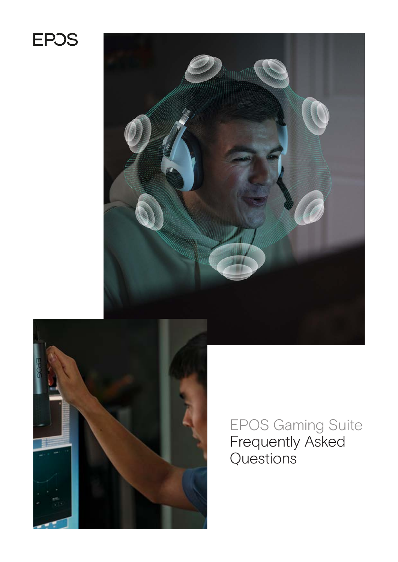# **EPOS**





EPOS Gaming Suite Frequently Asked Questions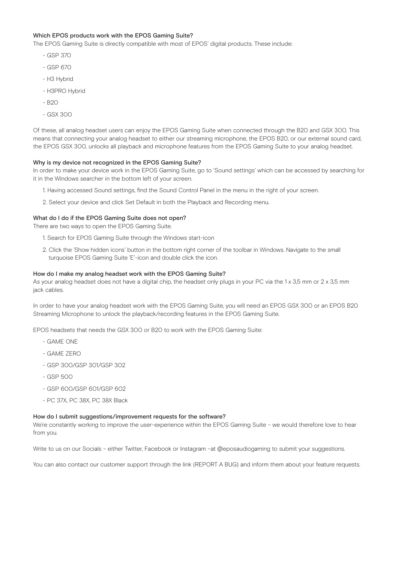# Which EPOS products work with the EPOS Gaming Suite?

The EPOS Gaming Suite is directly compatible with most of EPOS' digital products. These include:

- GSP 370
- GSP 670
- H3 Hybrid
- H3PRO Hybrid
- $-$  B<sub>20</sub>
- GSX 300

Of these, all analog headset users can enjoy the EPOS Gaming Suite when connected through the B20 and GSX 300. This means that connecting your analog headset to either our streaming microphone, the EPOS B20, or our external sound card, the EPOS GSX 300, unlocks all playback and microphone features from the EPOS Gaming Suite to your analog headset.

# Why is my device not recognized in the EPOS Gaming Suite?

In order to make your device work in the EPOS Gaming Suite, go to 'Sound settings' which can be accessed by searching for it in the Windows searcher in the bottom left of your screen.

- 1. Having accessed Sound settings, find the Sound Control Panel in the menu in the right of your screen.
- 2. Select your device and click Set Default in both the Playback and Recording menu.

# What do I do if the EPOS Gaming Suite does not open?

There are two ways to open the EPOS Gaming Suite.

- 1. Search for EPOS Gaming Suite through the Windows start-icon
- 2. Click the 'Show hidden icons' button in the bottom right corner of the toolbar in Windows. Navigate to the small turquoise EPOS Gaming Suite 'E'-icon and double click the icon.

# How do I make my analog headset work with the EPOS Gaming Suite?

As your analog headset does not have a digital chip, the headset only plugs in your PC via the 1 x 3,5 mm or  $2 \times 3,5$  mm jack cables.

In order to have your analog headset work with the EPOS Gaming Suite, you will need an EPOS GSX 300 or an EPOS B20 Streaming Microphone to unlock the playback/recording features in the EPOS Gaming Suite.

EPOS headsets that needs the GSX 300 or B20 to work with the EPOS Gaming Suite:

- GAME ONE
- GAME ZERO
- GSP 300/GSP 301/GSP 302
- GSP 500
- GSP 600/GSP 601/GSP 602
- PC 37X, PC 38X, PC 38X Black

## How do I submit suggestions/improvement requests for the software?

We're constantly working to improve the user-experience within the EPOS Gaming Suite - we would therefore love to hear from you.

Write to us on our Socials - either Twitter, Facebook or Instagram -at @eposaudiogaming to submit your suggestions.

You can also contact our customer support through the link (REPORT A BUG) and inform them about your feature requests.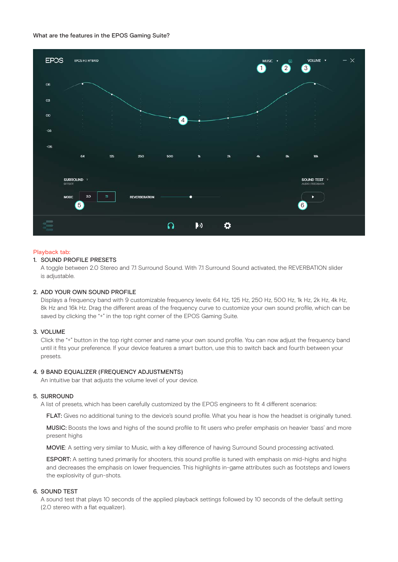## What are the features in the EPOS Gaming Suite?



### Playback tab:

# 1. SOUND PROFILE PRESETS

A toggle between 2.0 Stereo and 7.1 Surround Sound. With 7.1 Surround Sound activated, the REVERBATION slider is adjustable.

## 2. ADD YOUR OWN SOUND PROFILE

Displays a frequency band with 9 customizable frequency levels: 64 Hz, 125 Hz, 250 Hz, 500 Hz, 1k Hz, 2k Hz, 4k Hz, 8k Hz and 16k Hz. Drag the different areas of the frequency curve to customize your own sound profile, which can be saved by clicking the "+" in the top right corner of the EPOS Gaming Suite.

# 3. VOLUME

Click the "+" button in the top right corner and name your own sound profile. You can now adjust the frequency band until it fits your preference. If your device features a smart button, use this to switch back and fourth between your presets.

### 4. 9 BAND EQUALIZER (FREQUENCY ADJUSTMENTS)

An intuitive bar that adjusts the volume level of your device.

## 5. SURROUND

A list of presets, which has been carefully customized by the EPOS engineers to fit 4 different scenarios:

**FLAT:** Gives no additional tuning to the device's sound profile. What you hear is how the headset is originally tuned.

MUSIC: Boosts the lows and highs of the sound profile to fit users who prefer emphasis on heavier 'bass' and more present highs

MOVIE: A setting very similar to Music, with a key difference of having Surround Sound processing activated.

**ESPORT:** A setting tuned primarily for shooters, this sound profile is tuned with emphasis on mid-highs and highs and decreases the emphasis on lower frequencies. This highlights in-game attributes such as footsteps and lowers the explosivity of gun-shots.

## 6. SOUND TEST

A sound test that plays 10 seconds of the applied playback settings followed by 10 seconds of the default setting (2.0 stereo with a flat equalizer).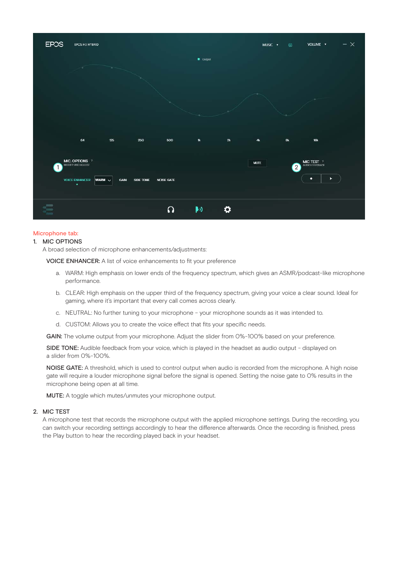

## Microphone tab:

#### 1. MIC OPTIONS

A broad selection of microphone enhancements/adjustments:

VOICE ENHANCER: A list of voice enhancements to fit your preference

- a. WARM: High emphasis on lower ends of the frequency spectrum, which gives an ASMR/podcast-like microphone performance.
- b. CLEAR: High emphasis on the upper third of the frequency spectrum, giving your voice a clear sound. Ideal for gaming, where it's important that every call comes across clearly.
- c. NEUTRAL: No further tuning to your microphone your microphone sounds as it was intended to.
- d. CUSTOM: Allows you to create the voice effect that fits your specific needs.

GAIN: The volume output from your microphone. Adjust the slider from 0%-100% based on your preference.

SIDE TONE: Audible feedback from your voice, which is played in the headset as audio output - displayed on a slider from 0%-100%.

NOISE GATE: A threshold, which is used to control output when audio is recorded from the microphone. A high noise gate will require a louder microphone signal before the signal is opened. Setting the noise gate to 0% results in the microphone being open at all time.

MUTE: A toggle which mutes/unmutes your microphone output.

# 2. MIC TEST

A microphone test that records the microphone output with the applied microphone settings. During the recording, you can switch your recording settings accordingly to hear the difference afterwards. Once the recording is finished, press the Play button to hear the recording played back in your headset.